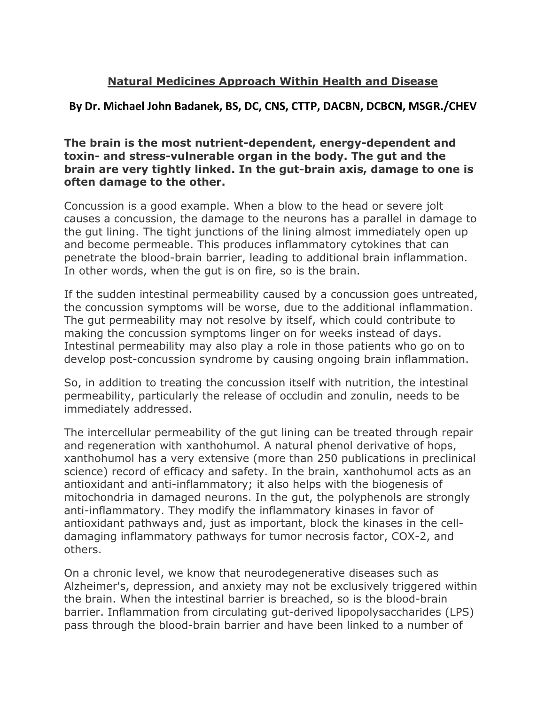## **Natural Medicines Approach Within Health and Disease**

## **By Dr. Michael John Badanek, BS, DC, CNS, CTTP, DACBN, DCBCN, MSGR./CHEV**

**The brain is the most nutrient-dependent, energy-dependent and toxin- and stress-vulnerable organ in the body. The gut and the brain are very tightly linked. In the gut-brain axis, damage to one is often damage to the other.**

Concussion is a good example.When a blow to the head or severe jolt causes a concussion, the damage to the neurons has a parallel in damage to the gut lining. The tight junctions of the lining almost immediately open up and become permeable. This produces inflammatory cytokines that can penetrate the blood-brain barrier, leading to additional brain inflammation. In other words, when the gut is on fire, so is the brain.

If the sudden intestinal permeability caused by a concussion goes untreated, the concussion symptoms will be worse, due to the additional inflammation. The gut permeability may not resolve by itself, which could contribute to making the concussion symptoms linger on for weeks instead of days. Intestinal permeability may also play a role in those patients who go on to develop post-concussion syndrome by causing ongoing brain inflammation.

So, in addition to treating the concussion itself with nutrition, the intestinal permeability, particularly the release of occludin and zonulin, needs to be immediately addressed.

The intercellular permeability of the gut lining can be treated through repair and regeneration with xanthohumol. A natural phenol derivative of hops,<br>xanthohumol has a very extensive (more than 250 publications in preclinical science) record of efficacy and safety. In the brain, xanthohumol acts as an antioxidant and anti-inflammatory; it also helps with the biogenesis of mitochondria in damaged neurons. In the gut, the polyphenols are strongly anti-inflammatory. They modify the inflammatory kinases in favor of antioxidant pathways and, just as important, block the kinases in the cell damaging inflammatory pathways for tumor necrosis factor, COX-2, and others.

On a chronic level, we know that neurodegenerative diseases such as Alzheimer's, depression, and anxiety may not be exclusively triggered within the brain. When the intestinal barrier is breached, so is the blood-brain barrier. Inflammation from circulating gut-derived lipopolysaccharides (LPS) pass through the blood-brain barrier and have been linked to a number of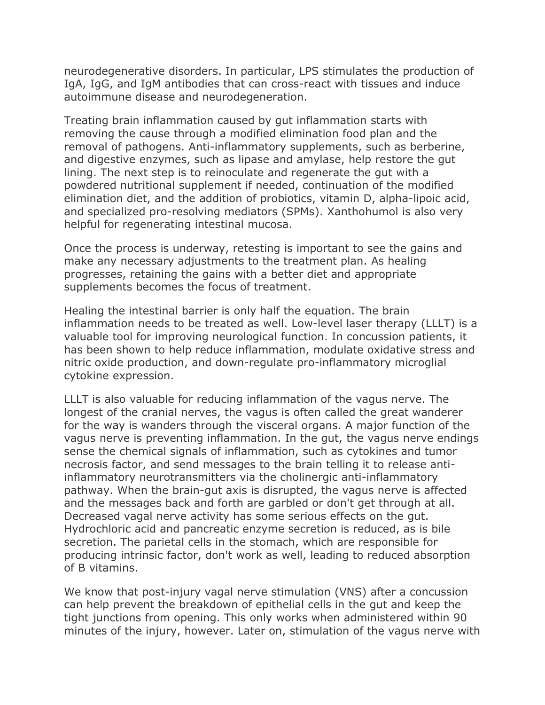neurodegenerative disorders. In particular, LPS stimulates the production of IgA, IgG, and IgM antibodies that can cross-react with tissues and induce autoimmune disease and neurodegeneration.

Treating brain inflammation caused by gut inflammation starts with removing the cause through a modified elimination food plan and the removal of pathogens. Anti-inflammatory supplements, such as berberine, and digestive enzymes, such as lipase and amylase, help restore the gut lining. The next step is to reinoculate and regenerate the gut with a powdered nutritional supplement if needed, continuation of the modified elimination diet, and the addition of probiotics, vitamin D, alpha-lipoic acid, and specialized pro-resolving mediators (SPMs). Xanthohumol is also very helpful for regenerating intestinal mucosa.

Once the process is underway, retesting is important to see the gains and make any necessary adjustments to the treatment plan. As healing progresses, retaining the gains with a better diet and appropriate supplements becomes the focus of treatment.

Healing the intestinal barrier is only half the equation. The brain inflammation needs to be treated as well. Low-level laser therapy (LLLT) is a valuable tool for improving neurological function. In concussion patients, it has been shown to help reduce inflammation, modulate oxidative stress and nitric oxide production, and down-regulate pro-inflammatory microglial cytokine expression.

LLLT is also valuable for reducing inflammation of the vagus nerve. The longest of the cranial nerves, the vagus is often called the great wanderer for the way is wanders through the visceral organs. A major function of the vagus nerve is preventing inflammation. In the gut, the vagus nerve endings sense the chemical signals of inflammation, such as cytokines and tumor necrosis factor, and send messages to the brain telling it to release antiinflammatory neurotransmitters via the cholinergic anti-inflammatory pathway. When the brain-gut axis is disrupted, the vagus nerve is affected and the messages back and forth are garbled or don't get through at all. Decreased vagal nerve activity has some serious effects on the gut. Hydrochloric acid and pancreatic enzyme secretion is reduced, as is bile secretion. The parietal cells in the stomach, which are responsible for producing intrinsic factor, don't work as well, leading to reduced absorption of B vitamins.

We know that post-injury vagal nerve stimulation (VNS) after a concussion can help prevent the breakdown of epithelial cells in the gut and keep the tight junctions from opening. This only works when administered within 90 minutes of the injury, however. Later on, stimulation of the vagus nerve with